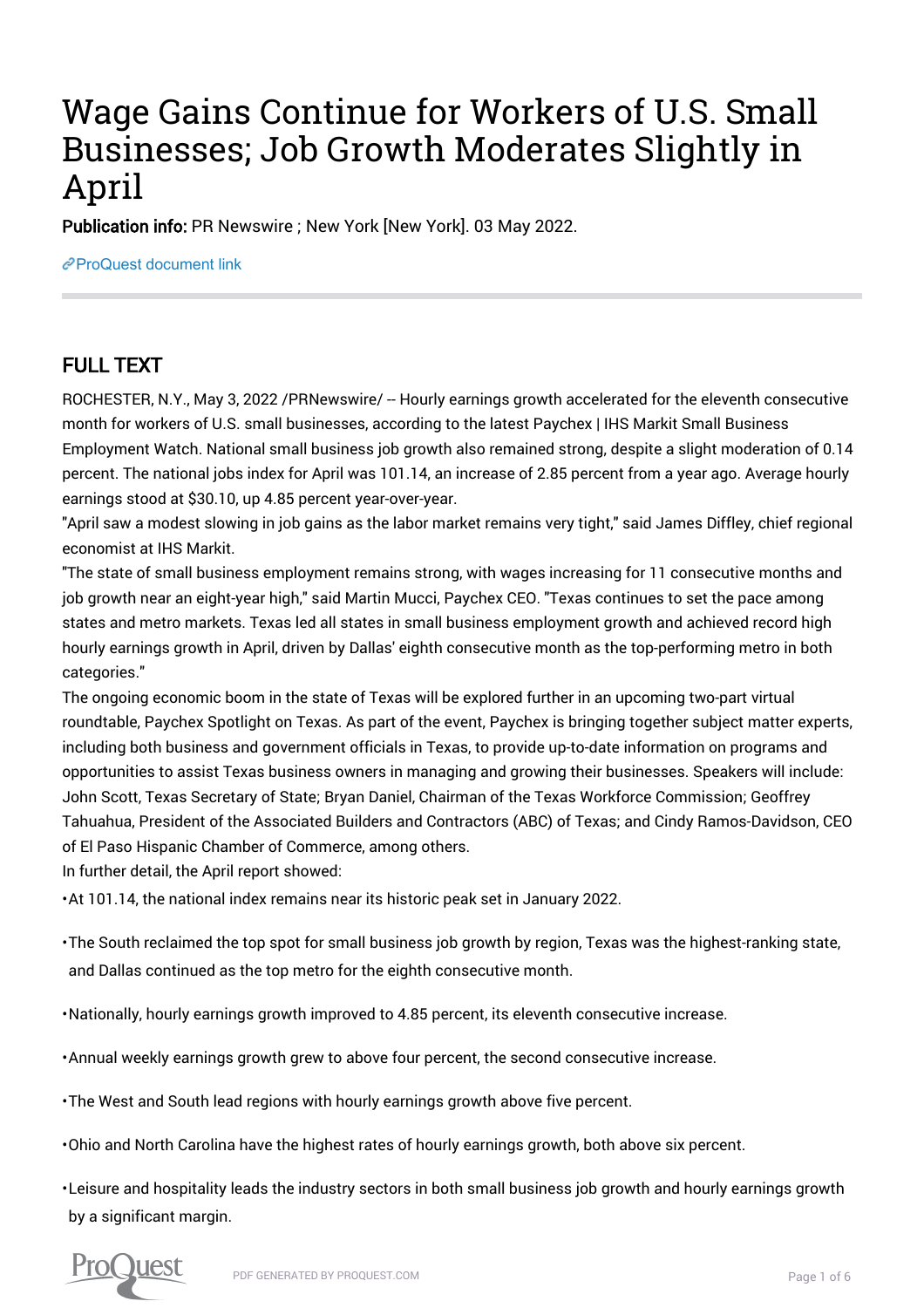# Wage Gains Continue for Workers of U.S. Small Businesses; Job Growth Moderates Slightly in April

Publication info: PR Newswire ; New York [New York]. 03 May 2022.

[ProQuest document link](https://www.proquest.com/wire-feeds/wage-gains-continue-workers-u-s-small-businesses/docview/2658558956/se-2?accountid=44910)

## FULL TEXT

ROCHESTER, N.Y., May 3, 2022 /PRNewswire/ -- Hourly earnings growth accelerated for the eleventh consecutive month for workers of U.S. small businesses, according to the latest Paychex | IHS Markit Small Business Employment Watch. National small business job growth also remained strong, despite a slight moderation of 0.14 percent. The national jobs index for April was 101.14, an increase of 2.85 percent from a year ago. Average hourly earnings stood at \$30.10, up 4.85 percent year-over-year.

"April saw a modest slowing in job gains as the labor market remains very tight," said James Diffley, chief regional economist at IHS Markit.

"The state of small business employment remains strong, with wages increasing for 11 consecutive months and job growth near an eight-year high," said Martin Mucci, Paychex CEO. "Texas continues to set the pace among states and metro markets. Texas led all states in small business employment growth and achieved record high hourly earnings growth in April, driven by Dallas' eighth consecutive month as the top-performing metro in both categories."

The ongoing economic boom in the state of Texas will be explored further in an upcoming two-part virtual roundtable, Paychex Spotlight on Texas. As part of the event, Paychex is bringing together subject matter experts, including both business and government officials in Texas, to provide up-to-date information on programs and opportunities to assist Texas business owners in managing and growing their businesses. Speakers will include: John Scott, Texas Secretary of State; Bryan Daniel, Chairman of the Texas Workforce Commission; Geoffrey Tahuahua, President of the Associated Builders and Contractors (ABC) of Texas; and Cindy Ramos-Davidson, CEO of El Paso Hispanic Chamber of Commerce, among others.

In further detail, the April report showed:

• At 101.14, the national index remains near its historic peak set in January 2022.

• The South reclaimed the top spot for small business job growth by region, Texas was the highest-ranking state, and Dallas continued as the top metro for the eighth consecutive month.

• Nationally, hourly earnings growth improved to 4.85 percent, its eleventh consecutive increase.

• Annual weekly earnings growth grew to above four percent, the second consecutive increase.

• The West and South lead regions with hourly earnings growth above five percent.

• Ohio and North Carolina have the highest rates of hourly earnings growth, both above six percent.

• Leisure and hospitality leads the industry sectors in both small business job growth and hourly earnings growth by a significant margin.

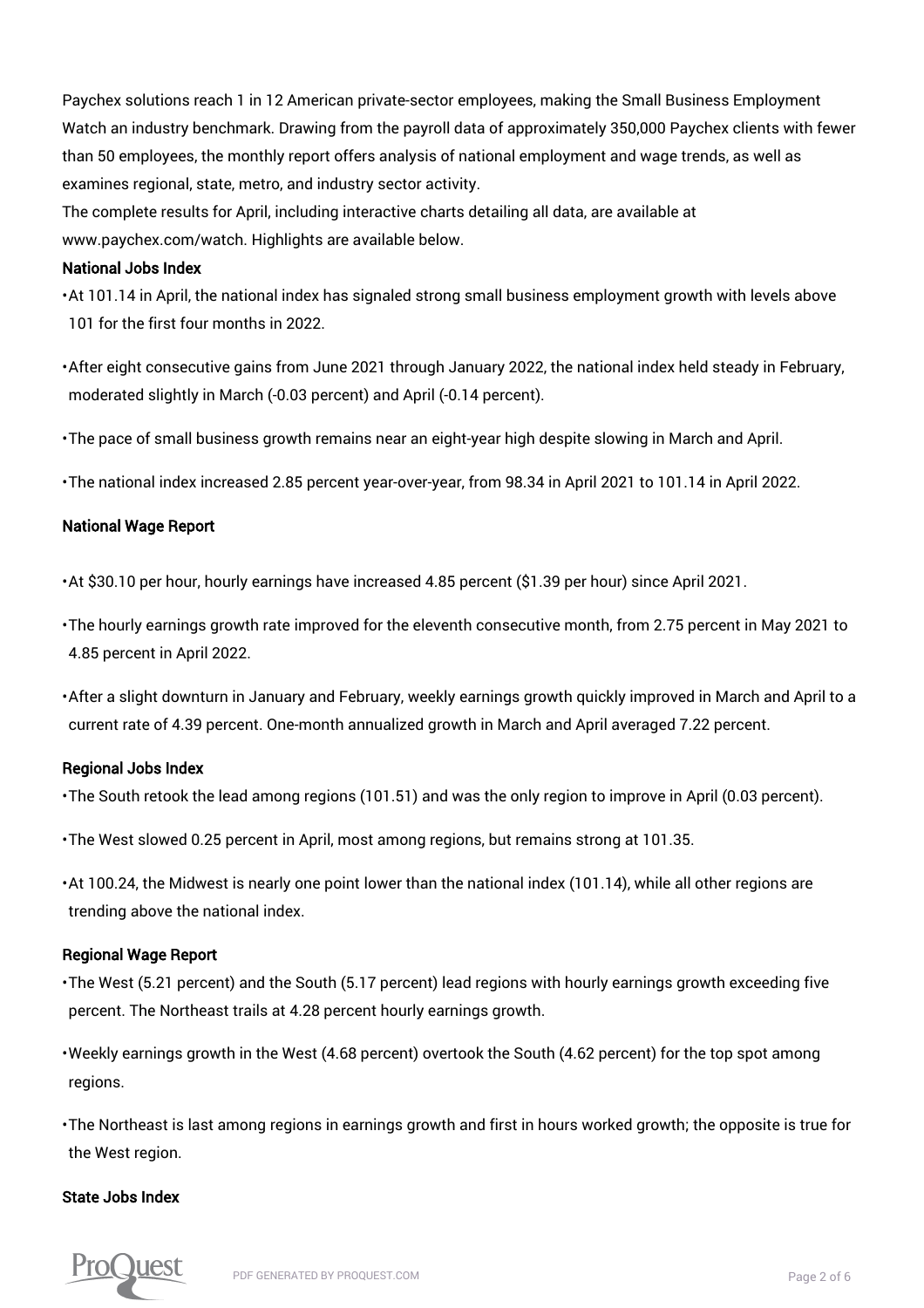Paychex solutions reach 1 in 12 American private-sector employees, making the Small Business Employment Watch an industry benchmark. Drawing from the payroll data of approximately 350,000 Paychex clients with fewer than 50 employees, the monthly report offers analysis of national employment and wage trends, as well as examines regional, state, metro, and industry sector activity.

The complete results for April, including interactive charts detailing all data, are available at www.paychex.com/watch. Highlights are available below.

### National Jobs Index

• At 101.14 in April, the national index has signaled strong small business employment growth with levels above 101 for the first four months in 2022.

• After eight consecutive gains from June 2021 through January 2022, the national index held steady in February, moderated slightly in March (-0.03 percent) and April (-0.14 percent).

• The pace of small business growth remains near an eight-year high despite slowing in March and April.

• The national index increased 2.85 percent year-over-year, from 98.34 in April 2021 to 101.14 in April 2022.

## National Wage Report

• At \$30.10 per hour, hourly earnings have increased 4.85 percent (\$1.39 per hour) since April 2021.

• The hourly earnings growth rate improved for the eleventh consecutive month, from 2.75 percent in May 2021 to 4.85 percent in April 2022.

• After a slight downturn in January and February, weekly earnings growth quickly improved in March and April to a current rate of 4.39 percent. One-month annualized growth in March and April averaged 7.22 percent.

#### Regional Jobs Index

• The South retook the lead among regions (101.51) and was the only region to improve in April (0.03 percent).

• The West slowed 0.25 percent in April, most among regions, but remains strong at 101.35.

• At 100.24, the Midwest is nearly one point lower than the national index (101.14), while all other regions are trending above the national index.

## Regional Wage Report

• The West (5.21 percent) and the South (5.17 percent) lead regions with hourly earnings growth exceeding five percent. The Northeast trails at 4.28 percent hourly earnings growth.

• Weekly earnings growth in the West (4.68 percent) overtook the South (4.62 percent) for the top spot among regions.

• The Northeast is last among regions in earnings growth and first in hours worked growth; the opposite is true for the West region.

## State Jobs Index

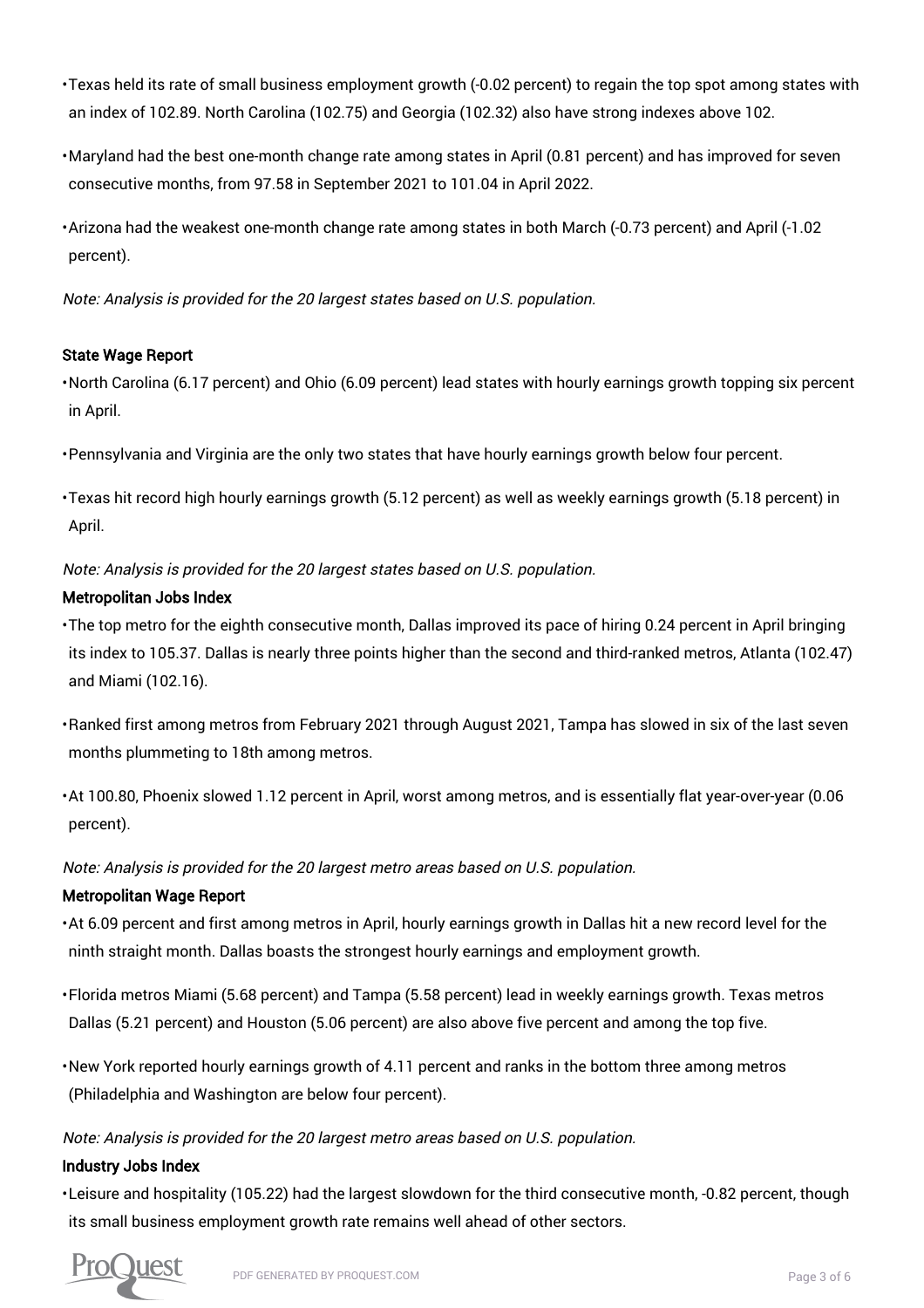- Texas held its rate of small business employment growth (-0.02 percent) to regain the top spot among states with an index of 102.89. North Carolina (102.75) and Georgia (102.32) also have strong indexes above 102.
- Maryland had the best one-month change rate among states in April (0.81 percent) and has improved for seven consecutive months, from 97.58 in September 2021 to 101.04 in April 2022.
- Arizona had the weakest one-month change rate among states in both March (-0.73 percent) and April (-1.02 percent).

Note: Analysis is provided for the 20 largest states based on U.S. population.

## State Wage Report

- North Carolina (6.17 percent) and Ohio (6.09 percent) lead states with hourly earnings growth topping six percent in April.
- Pennsylvania and Virginia are the only two states that have hourly earnings growth below four percent.
- Texas hit record high hourly earnings growth (5.12 percent) as well as weekly earnings growth (5.18 percent) in April.

Note: Analysis is provided for the 20 largest states based on U.S. population.

## Metropolitan Jobs Index

- The top metro for the eighth consecutive month, Dallas improved its pace of hiring 0.24 percent in April bringing its index to 105.37. Dallas is nearly three points higher than the second and third-ranked metros, Atlanta (102.47) and Miami (102.16).
- Ranked first among metros from February 2021 through August 2021, Tampa has slowed in six of the last seven months plummeting to 18th among metros.
- At 100.80, Phoenix slowed 1.12 percent in April, worst among metros, and is essentially flat year-over-year (0.06 percent).

Note: Analysis is provided for the 20 largest metro areas based on U.S. population.

## Metropolitan Wage Report

- At 6.09 percent and first among metros in April, hourly earnings growth in Dallas hit a new record level for the ninth straight month. Dallas boasts the strongest hourly earnings and employment growth.
- Florida metros Miami (5.68 percent) and Tampa (5.58 percent) lead in weekly earnings growth. Texas metros Dallas (5.21 percent) and Houston (5.06 percent) are also above five percent and among the top five.
- New York reported hourly earnings growth of 4.11 percent and ranks in the bottom three among metros (Philadelphia and Washington are below four percent).

## Note: Analysis is provided for the 20 largest metro areas based on U.S. population.

## Industry Jobs Index

• Leisure and hospitality (105.22) had the largest slowdown for the third consecutive month, -0.82 percent, though its small business employment growth rate remains well ahead of other sectors.

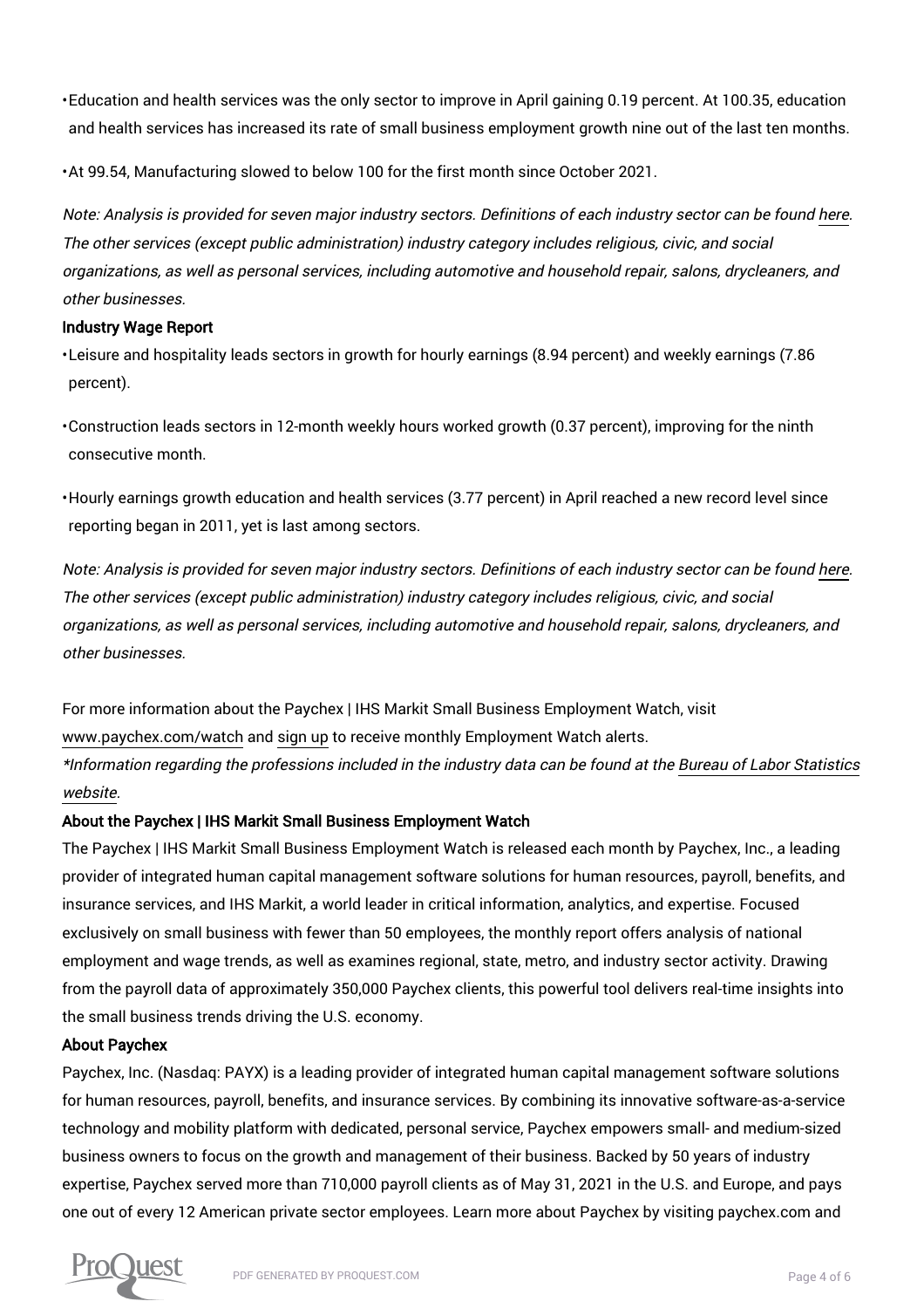• Education and health services was the only sector to improve in April gaining 0.19 percent. At 100.35, education and health services has increased its rate of small business employment growth nine out of the last ten months.

• At 99.54, Manufacturing slowed to below 100 for the first month since October 2021.

Note: Analysis is provided for seven major industry sectors. Definitions of each industry sector can be found here. The other services (except public administration) industry category includes religious, civic, and social organizations, as well as personal services, including automotive and household repair, salons, drycleaners, and other businesses.

## Industry Wage Report

• Leisure and hospitality leads sectors in growth for hourly earnings (8.94 percent) and weekly earnings (7.86 percent).

• Construction leads sectors in 12-month weekly hours worked growth (0.37 percent), improving for the ninth consecutive month.

• Hourly earnings growth education and health services (3.77 percent) in April reached a new record level since reporting began in 2011, yet is last among sectors.

Note: Analysis is provided for seven major industry sectors. Definitions of each industry sector can be found here. The other services (except public administration) industry category includes religious, civic, and social organizations, as well as personal services, including automotive and household repair, salons, drycleaners, and other businesses.

For more information about the Paychex | IHS Markit Small Business Employment Watch, visit www.paychex.com/watch and sign up to receive monthly Employment Watch alerts. \*Information regarding the professions included in the industry data can be found at the Bureau of Labor Statistics website.

## About the Paychex | IHS Markit Small Business Employment Watch

The Paychex | IHS Markit Small Business Employment Watch is released each month by Paychex, Inc., a leading provider of integrated human capital management software solutions for human resources, payroll, benefits, and insurance services, and IHS Markit, a world leader in critical information, analytics, and expertise. Focused exclusively on small business with fewer than 50 employees, the monthly report offers analysis of national employment and wage trends, as well as examines regional, state, metro, and industry sector activity. Drawing from the payroll data of approximately 350,000 Paychex clients, this powerful tool delivers real-time insights into the small business trends driving the U.S. economy.

## About Paychex

Paychex, Inc. (Nasdaq: PAYX) is a leading provider of integrated human capital management software solutions for human resources, payroll, benefits, and insurance services. By combining its innovative software-as-a-service technology and mobility platform with dedicated, personal service, Paychex empowers small- and medium-sized business owners to focus on the growth and management of their business. Backed by 50 years of industry expertise, Paychex served more than 710,000 payroll clients as of May 31, 2021 in the U.S. and Europe, and pays one out of every 12 American private sector employees. Learn more about Paychex by visiting paychex.com and

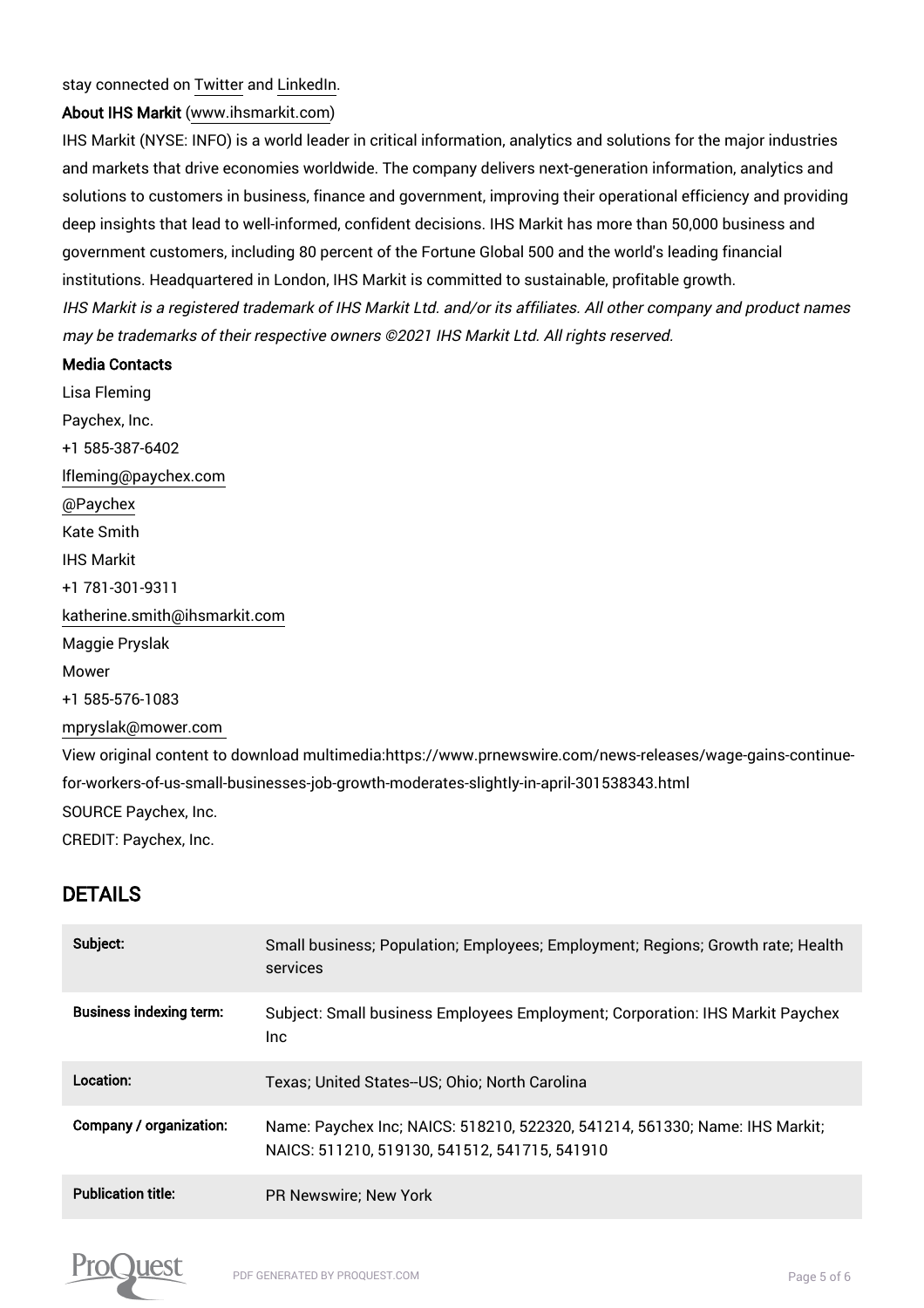### stay connected on Twitter and LinkedIn.

## About IHS Markit (www.ihsmarkit.com)

IHS Markit (NYSE: INFO) is a world leader in critical information, analytics and solutions for the major industries and markets that drive economies worldwide. The company delivers next-generation information, analytics and solutions to customers in business, finance and government, improving their operational efficiency and providing deep insights that lead to well-informed, confident decisions. IHS Markit has more than 50,000 business and government customers, including 80 percent of the Fortune Global 500 and the world's leading financial institutions. Headquartered in London, IHS Markit is committed to sustainable, profitable growth. IHS Markit is a registered trademark of IHS Markit Ltd. and/or its affiliates. All other company and product names may be trademarks of their respective owners ©2021 IHS Markit Ltd. All rights reserved.

#### Media Contacts

Lisa Fleming Paychex, Inc. +1 585-387-6402 lfleming@paychex.com @Paychex Kate Smith IHS Markit +1 781-301-9311 katherine.smith@ihsmarkit.com Maggie Pryslak Mower +1 585-576-1083 mpryslak@mower.com View original content to download multimedia:https://www.prnewswire.com/news-releases/wage-gains-continuefor-workers-of-us-small-businesses-job-growth-moderates-slightly-in-april-301538343.html SOURCE Paychex, Inc. CREDIT: Paychex, Inc.

## DETAILS

| Subject:                       | Small business; Population; Employees; Employment; Regions; Growth rate; Health<br>services                                  |
|--------------------------------|------------------------------------------------------------------------------------------------------------------------------|
| <b>Business indexing term:</b> | Subject: Small business Employees Employment; Corporation: IHS Markit Paychex<br>Inc.                                        |
| Location:                      | Texas: United States--US: Ohio: North Carolina                                                                               |
| Company / organization:        | Name: Paychex Inc; NAICS: 518210, 522320, 541214, 561330; Name: IHS Markit;<br>NAICS: 511210, 519130, 541512, 541715, 541910 |
| <b>Publication title:</b>      | <b>PR Newswire: New York</b>                                                                                                 |